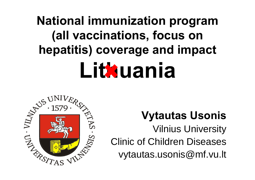# **National immunization program (all vaccinations, focus on hepatitis) coverage and impact Lithuania**



## **Vytautas Usonis**

Vilnius University Clinic of Children Diseases vytautas.usonis@mf.vu.lt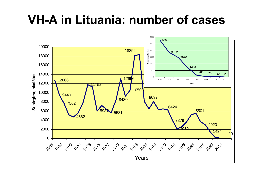## **VH-A in Lituania: number of cases**

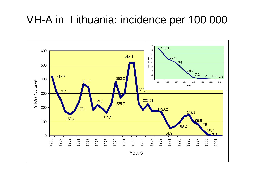## VH-A in Lithuania: incidence per 100 000

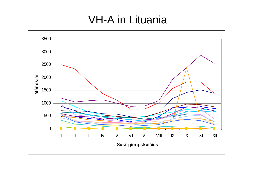### VH-A in Lituania

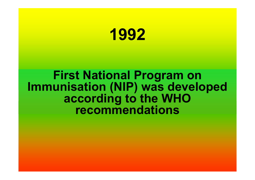

### **First National Program on Immunisation (NIP) was developed according to the WHO recommendations**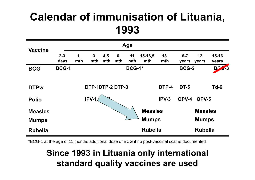| <b>Vaccine</b> |                               |              |                     |            |          |           |                |           |                  |                |                    |
|----------------|-------------------------------|--------------|---------------------|------------|----------|-----------|----------------|-----------|------------------|----------------|--------------------|
|                | $2 - 3$<br>days               | 1<br>mth     | $\mathbf{3}$<br>mth | 4,5<br>mth | 6<br>mth | 11<br>mth | 15-16,5<br>mth | 18<br>mth | $6 - 7$<br>years | 12<br>years    | $15 - 16$<br>years |
| <b>BCG</b>     | <b>BCG-1</b><br><b>BCG-1*</b> |              |                     |            |          |           |                |           | <b>BCG-2</b>     |                | $BC - 3$           |
|                |                               |              |                     |            |          |           |                |           |                  |                |                    |
| <b>DTPw</b>    |                               |              | DTP-1DTP-2 DTP-3    |            |          |           |                | DTP-4     | <b>DT-5</b>      |                | $Td-6$             |
| <b>Polio</b>   |                               |              | IPV-1               |            |          |           |                | IPV-3     | OPV-4            | OPV-5          |                    |
| <b>Measles</b> |                               |              |                     |            |          |           | <b>Measles</b> |           |                  | <b>Measles</b> |                    |
| <b>Mumps</b>   |                               | <b>Mumps</b> |                     |            |          |           |                |           | <b>Mumps</b>     |                |                    |
| <b>Rubella</b> |                               |              |                     |            |          |           | <b>Rubella</b> |           |                  | <b>Rubella</b> |                    |

\*BCG-1 at the age of 11 months additional dose of BCG if no post-vaccinal scar is documented

#### **Since 1993 in Lituania only international standard quality vaccines are used**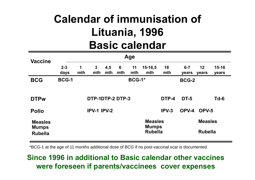## **Calendar of immunisation of Lituania, 1996 Basic calendar**

| <b>Vaccine</b>                 |                 |               |                     |            |          |                                |                    |              |                  |                |                    |  |
|--------------------------------|-----------------|---------------|---------------------|------------|----------|--------------------------------|--------------------|--------------|------------------|----------------|--------------------|--|
|                                | $2 - 3$<br>days | 1<br>mth      | $\mathbf{3}$<br>mth | 4,5<br>mth | 6<br>mth | 11<br>mth                      | $15 - 16,5$<br>mth | 18<br>mth    | $6 - 7$<br>years | 12<br>years    | $15 - 16$<br>years |  |
| <b>BCG</b>                     | <b>BCG-1</b>    | <b>BCG-1*</b> |                     |            |          |                                |                    | <b>BCG-2</b> |                  |                |                    |  |
|                                |                 |               |                     |            |          |                                |                    |              |                  |                |                    |  |
| <b>DTPw</b>                    |                 |               | DTP-1DTP-2 DTP-3    |            |          |                                |                    | DTP-4        | <b>DT-5</b>      |                | $Td-6$             |  |
| <b>Polio</b>                   |                 |               | <b>IPV-1 IPV-2</b>  |            |          |                                |                    | $IPV-3$      | OPV-4            | OPV-5          |                    |  |
| <b>Measles</b>                 |                 |               |                     |            |          | <b>Measles</b><br><b>Mumps</b> |                    |              | <b>Measles</b>   |                |                    |  |
| <b>Mumps</b><br><b>Rubella</b> |                 |               |                     |            |          |                                | <b>Rubella</b>     |              |                  | <b>Rubella</b> |                    |  |

\*BCG-1 at the age of 11 months additional dose of BCG if no post-vaccinal scar is documented

#### **Since 1996 in additional to Basic calendar other vaccines were foreseen if parents/vaccinees cover expenses**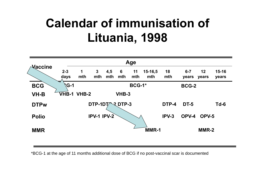

\*BCG-1 at the age of 11 months additional dose of BCG if no post-vaccinal scar is documented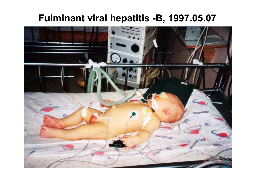### **Fulminant viral hepatitis -B, 1997.05.07**

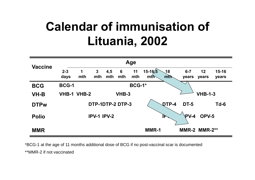

\*BCG-1 at the age of 11 months additional dose of BCG if no post-vaccinal scar is documented \*\*MMR-2 if not vaccinated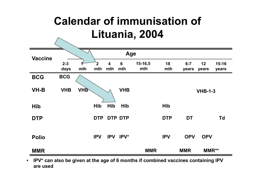

 $\bullet$  **IPV\* can also be given at the age of 6 months if combined vaccines containing IPV are used**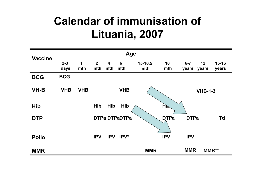| <b>Vaccine</b> |                 |            |                       |                         | Age                    |                |                    |                  |                |                    |
|----------------|-----------------|------------|-----------------------|-------------------------|------------------------|----------------|--------------------|------------------|----------------|--------------------|
|                | $2 - 3$<br>days | 1<br>mth   | 2 <sup>2</sup><br>mth | $\boldsymbol{4}$<br>mth | $6\phantom{1}6$<br>mth | 15-16,5<br>mth | 18<br>mth          | $6 - 7$<br>years | 12<br>years    | $15 - 16$<br>years |
| <b>BCG</b>     | <b>BCG</b>      |            |                       |                         |                        |                |                    |                  |                |                    |
| <b>VH-B</b>    | <b>VHB</b>      | <b>VHB</b> |                       |                         | <b>VHB</b>             |                |                    |                  | <b>VHB-1-3</b> |                    |
| <b>Hib</b>     |                 |            | Hib                   | Hib                     | Hib                    |                | $H^{\prime\prime}$ |                  |                |                    |
| <b>DTP</b>     |                 |            |                       |                         | <b>DTPa DTPaDTPa</b>   |                | <b>DTPa</b>        | <b>DTPa</b>      |                | <b>Td</b>          |
| <b>Polio</b>   |                 |            | <b>IPV</b>            | <b>IPV</b>              | IPV*                   |                | <b>IPV</b>         | <b>IPV</b>       |                |                    |
| <b>MMR</b>     |                 |            |                       |                         |                        | <b>MMR</b>     |                    | <b>MMR</b>       |                | MMR**              |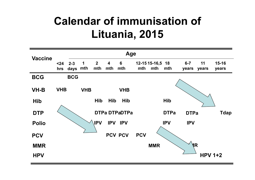| <b>Vaccine</b> |             |                 |            |                       |                                | Age                   |            |                         |             |                  |                |                    |
|----------------|-------------|-----------------|------------|-----------------------|--------------------------------|-----------------------|------------|-------------------------|-------------|------------------|----------------|--------------------|
|                | $24$<br>hrs | $2 - 3$<br>days | 1<br>mth   | $\overline{2}$<br>mth | $\overline{\mathbf{4}}$<br>mth | $6\phantom{1}$<br>mth | mth        | 12-15 15-16,5 18<br>mth | mth         | $6 - 7$<br>years | 11<br>years    | $15 - 16$<br>years |
| <b>BCG</b>     |             | <b>BCG</b>      |            |                       |                                |                       |            |                         |             |                  |                |                    |
| <b>VH-B</b>    | <b>VHB</b>  |                 | <b>VHB</b> |                       |                                | <b>VHB</b>            |            |                         |             |                  |                |                    |
| <b>Hib</b>     |             |                 |            | Hib                   | Hib                            | Hib                   |            |                         | Hib         |                  |                |                    |
| <b>DTP</b>     |             |                 |            |                       |                                | <b>DTPa DTPaDTPa</b>  |            |                         | <b>DTPa</b> | <b>DTPa</b>      |                | <b>Tdap</b>        |
| <b>Polio</b>   |             |                 |            | <b>IPV</b>            | <b>IPV</b>                     | <b>IPV</b>            |            |                         | <b>IPV</b>  | <b>IPV</b>       |                |                    |
| <b>PCV</b>     |             |                 |            |                       |                                | PCV PCV               | <b>PCV</b> |                         |             |                  |                |                    |
| <b>MMR</b>     |             |                 |            |                       |                                |                       |            | <b>MMR</b>              |             | <b>NR</b>        |                |                    |
| <b>HPV</b>     |             |                 |            |                       |                                |                       |            |                         |             |                  | <b>HPV 1+2</b> |                    |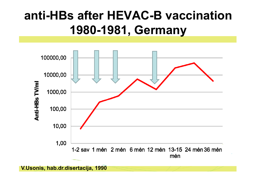## **anti-HBs after HEVAC-B vaccination1980-1981, Germany**



**V.Usonis, hab.dr.disertacija, 1990**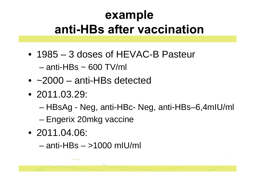## **example anti-HBs after vaccination**

- 1985 3 doses of HEVAC-B Pasteur – anti-HBs ~ 600 TV/ml
- ~2000 anti-HBs detected
- 2011.03.29:
	- –HBsAg - Neg, anti-HBc- Neg, anti-HBs–6,4mIU/ml
	- –Engerix 20mkg vaccine
- 2011.04.06:
	- anti-HBs >1000 mIU/ml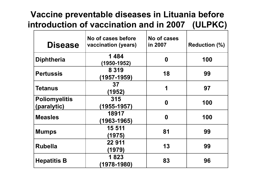#### **Vaccine preventable diseases in Lituania before introduction of vaccination and in 2007 (ULPKC)**

| <b>Disease</b>                      | No of cases before<br>vaccination (years) | No of cases<br>in 2007 | <b>Reduction (%)</b> |
|-------------------------------------|-------------------------------------------|------------------------|----------------------|
| <b>Diphtheria</b>                   | 1484<br>(1950-1952)                       | $\boldsymbol{0}$       | 100                  |
| <b>Pertussis</b>                    | 8 3 1 9<br>(1957-1959)                    | 18                     | 99                   |
| <b>Tetanus</b>                      | 37<br>(1952)                              | 1                      | 97                   |
| <b>Poliomyelitis</b><br>(paralytic) | 315<br>(1955-1957)                        | $\boldsymbol{0}$       | 100                  |
| <b>Measles</b>                      | 18917<br>(1963-1965)                      | $\boldsymbol{0}$       | 100                  |
| <b>Mumps</b>                        | 15 511<br>(1975)                          | 81                     | 99                   |
| <b>Rubella</b>                      | 22 911<br>(1979)                          | 13                     | 99                   |
| <b>Hepatitis B</b>                  | 1823<br>$(1978 - 1980)$                   | 83                     | 96                   |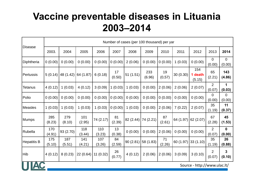### **Vaccine preventable diseases in Lituania 2003–2014**

|                    |               |               |               |               |              | Number of cases (per 100 thousand) per yar |               |              |           |                              |                          |                          |
|--------------------|---------------|---------------|---------------|---------------|--------------|--------------------------------------------|---------------|--------------|-----------|------------------------------|--------------------------|--------------------------|
| <b>Disease</b>     | 2003.         | 2004          | 2005          | 2006          | 2007         | 2008                                       | 2009          | 2010         | 2011      | 2012                         | 2013                     | 2014                     |
| Diphtheria         | 0(0.00)       | 0(0.00)       | 0(0.00)       | 0(0.00)       | 0(0.00)      | 2(0.06)                                    | 0(0.00)       | 0(0.00)      | 1(0.03)   | 0(0.00)                      | 0<br>(0.00)              | $\overline{0}$<br>(0.00) |
| Pertussis          | 5(0.14)       | 48 (1.42)     | 64 (1.87)     | 6(0.18)       | 17<br>(0.50) | 51(1.51)                                   | 233<br>(6.96) | 19<br>(0,57) | 30 (0.30) | 154<br>1 death<br>(5.15)     | 65<br>(2.21)             | 143<br>(4.86)            |
| <b>Tetanus</b>     | 4(0.12)       | 1(0.03)       | 4(0.12)       | 3(0.09)       | 1(0.03)      | 1(0.03)                                    | 0(0.00)       | 2(0.06)      | 2(0.06)   | 2(0.07)                      | $\overline{2}$<br>(0.07) | 1<br>(0.03)              |
| Polio              | 0(0.00)       | 0(0.00)       | 0(0.00)       | 0(0.00)       | 0(0.00)      | 0(0.00)                                    | 0(0.00)       | 0(0.00)      | 0(0.00)   | 0(0.00)                      | $\Omega$<br>(0.00)       | $\overline{0}$<br>(0.00) |
| Measles            | 1(0.03)       | 1(0.03)       | 1(0.03)       | 1(0.03)       | 0(0.00)      | 1(0.03)                                    | 0(0.00)       | 2(0.06)      | 7(0.22)   | 2(0.07)                      | 35<br>(1.19)             | 11<br>(0.37)             |
| <b>Mumps</b>       | 285<br>(8.23) | 279<br>(8.10) | 101<br>(2.95) | 74 (2.17)     | 81<br>(2.39) | 82 (2.44)                                  | 74 (2.21)     | 87<br>(2.61) | 64 (1.97) | 62(2.07)                     | 67<br>(2.28)             | 45<br>(1.53)             |
| Rubella            | 170<br>(4.91) | 93 (2.70)     | 118<br>(3.44) | 110<br>(3.23) | 13<br>(0.38) | 0(0.00)                                    | 0(0.00)       | 2(0.06)      | 0(0.00)   | 0(0.00)                      | $\overline{2}$<br>(0.07) | $\mathbf 0$<br>(0.00)    |
| <b>Hepatitis B</b> | 175<br>(5.10) | 187<br>(5.51) | 141<br>(4.21) | 107<br>(3.26) | 84<br>(2.59) | 90(2.81)                                   | 58 (1.83)     | 71<br>(2.26) | 60 (1.97) | 33(1.10)                     | 35<br>(1.19)             | 26<br>(0.88)             |
| Hib                | 4(0.12)       | 8(0.23)       | 22 (0.64)     | 11(0.32)      | 26<br>(0.77) | 4(0.12)                                    | 2(0.06)       | 2(0.06)      | 3(0.09)   | 3(0.10)                      | $\overline{2}$<br>(0.07) | 3<br>(0.10)              |
|                    |               |               |               |               |              |                                            |               |              |           | Source - http://www.ulac.lt/ |                          |                          |